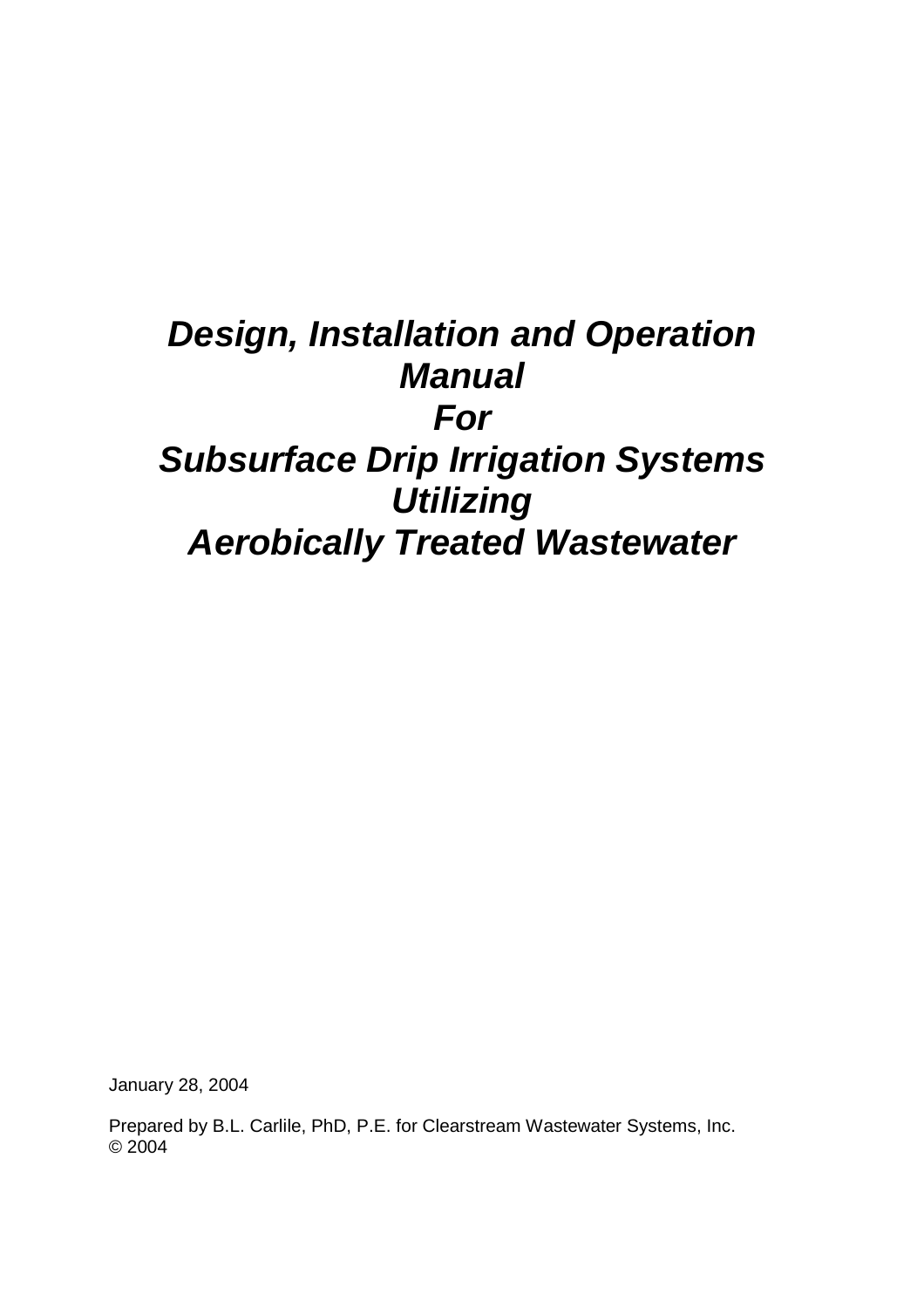# *Design, Installation and Operation Manual For Subsurface Drip Irrigation Systems Utilizing Aerobically Treated Wastewater*

January 28, 2004

Prepared by B.L. Carlile, PhD, P.E. for Clearstream Wastewater Systems, Inc. © 2004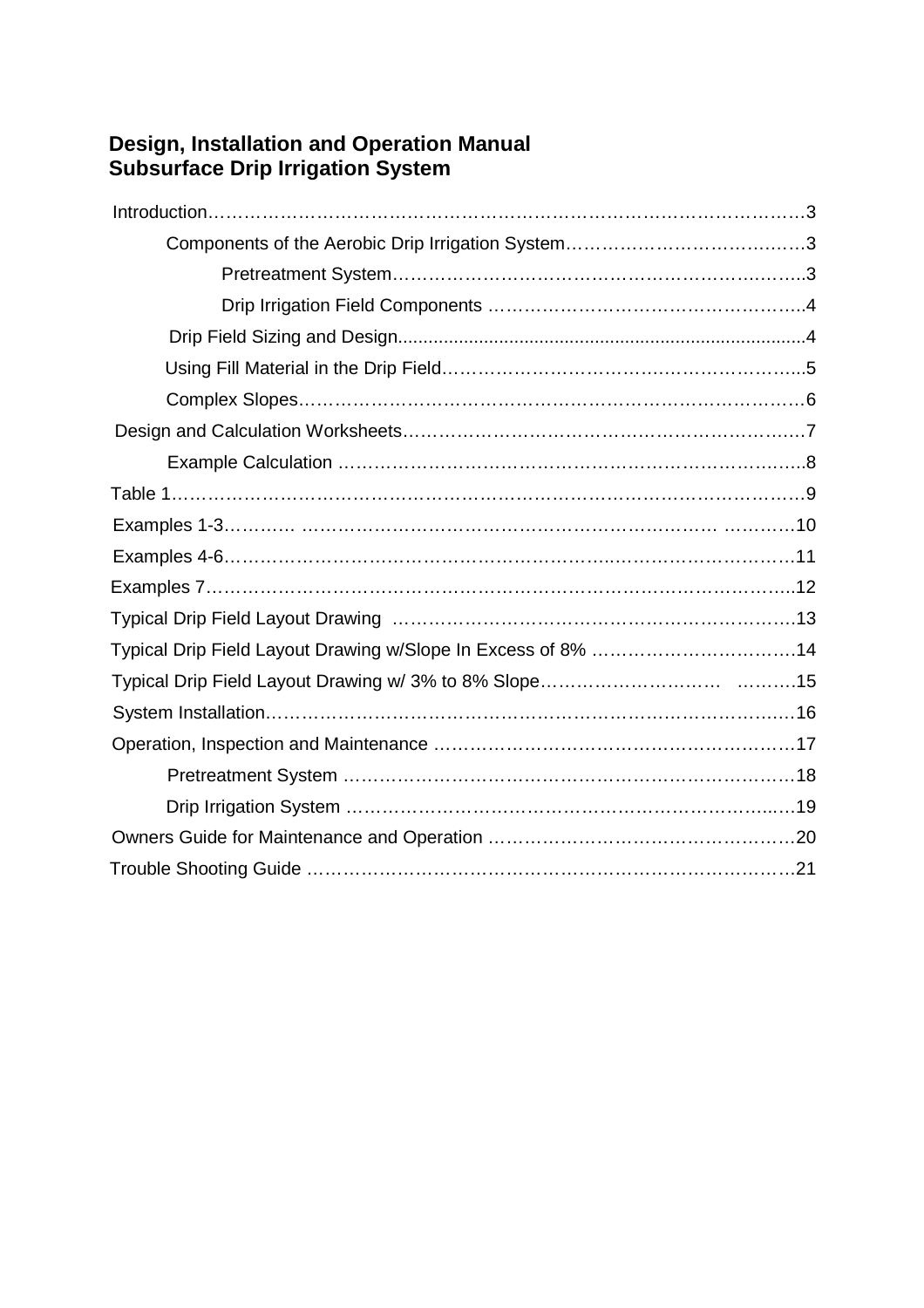# **Design, Installation and Operation Manual Subsurface Drip Irrigation System**

| Typical Drip Field Layout Drawing w/Slope In Excess of 8% 14 |  |
|--------------------------------------------------------------|--|
|                                                              |  |
|                                                              |  |
|                                                              |  |
|                                                              |  |
|                                                              |  |
|                                                              |  |
|                                                              |  |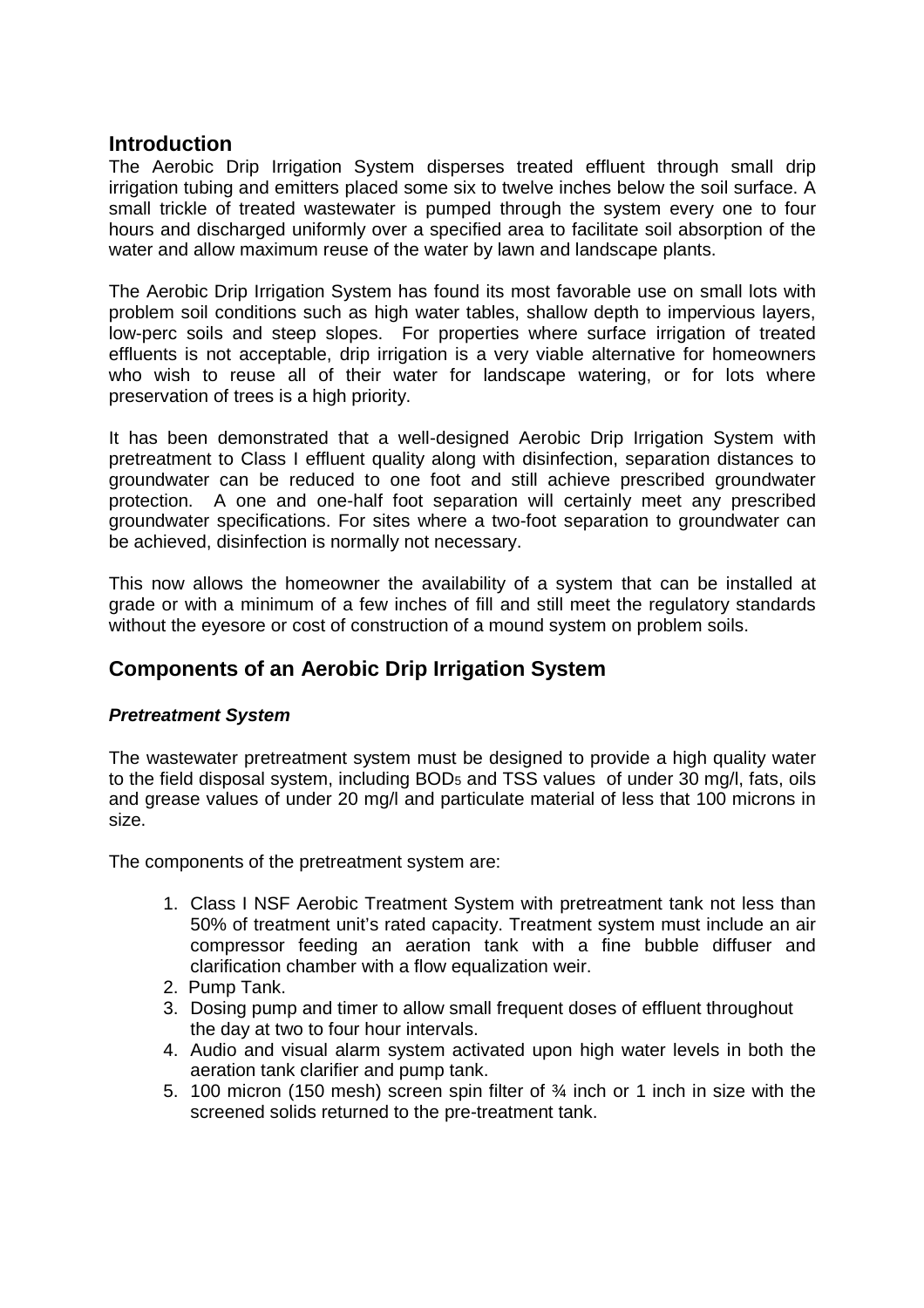## **Introduction**

The Aerobic Drip Irrigation System disperses treated effluent through small drip irrigation tubing and emitters placed some six to twelve inches below the soil surface. A small trickle of treated wastewater is pumped through the system every one to four hours and discharged uniformly over a specified area to facilitate soil absorption of the water and allow maximum reuse of the water by lawn and landscape plants.

The Aerobic Drip Irrigation System has found its most favorable use on small lots with problem soil conditions such as high water tables, shallow depth to impervious layers, low-perc soils and steep slopes. For properties where surface irrigation of treated effluents is not acceptable, drip irrigation is a very viable alternative for homeowners who wish to reuse all of their water for landscape watering, or for lots where preservation of trees is a high priority.

It has been demonstrated that a well-designed Aerobic Drip Irrigation System with pretreatment to Class I effluent quality along with disinfection, separation distances to groundwater can be reduced to one foot and still achieve prescribed groundwater protection. A one and one-half foot separation will certainly meet any prescribed groundwater specifications. For sites where a two-foot separation to groundwater can be achieved, disinfection is normally not necessary.

This now allows the homeowner the availability of a system that can be installed at grade or with a minimum of a few inches of fill and still meet the regulatory standards without the eyesore or cost of construction of a mound system on problem soils.

## **Components of an Aerobic Drip Irrigation System**

### *Pretreatment System*

The wastewater pretreatment system must be designed to provide a high quality water to the field disposal system, including BOD<sup>5</sup> and TSS values of under 30 mg/l, fats, oils and grease values of under 20 mg/l and particulate material of less that 100 microns in size.

The components of the pretreatment system are:

- 1. Class I NSF Aerobic Treatment System with pretreatment tank not less than 50% of treatment unit's rated capacity. Treatment system must include an air compressor feeding an aeration tank with a fine bubble diffuser and clarification chamber with a flow equalization weir.
- 2. Pump Tank.
- 3. Dosing pump and timer to allow small frequent doses of effluent throughout the day at two to four hour intervals.
- 4. Audio and visual alarm system activated upon high water levels in both the aeration tank clarifier and pump tank.
- 5. 100 micron (150 mesh) screen spin filter of ¾ inch or 1 inch in size with the screened solids returned to the pre-treatment tank.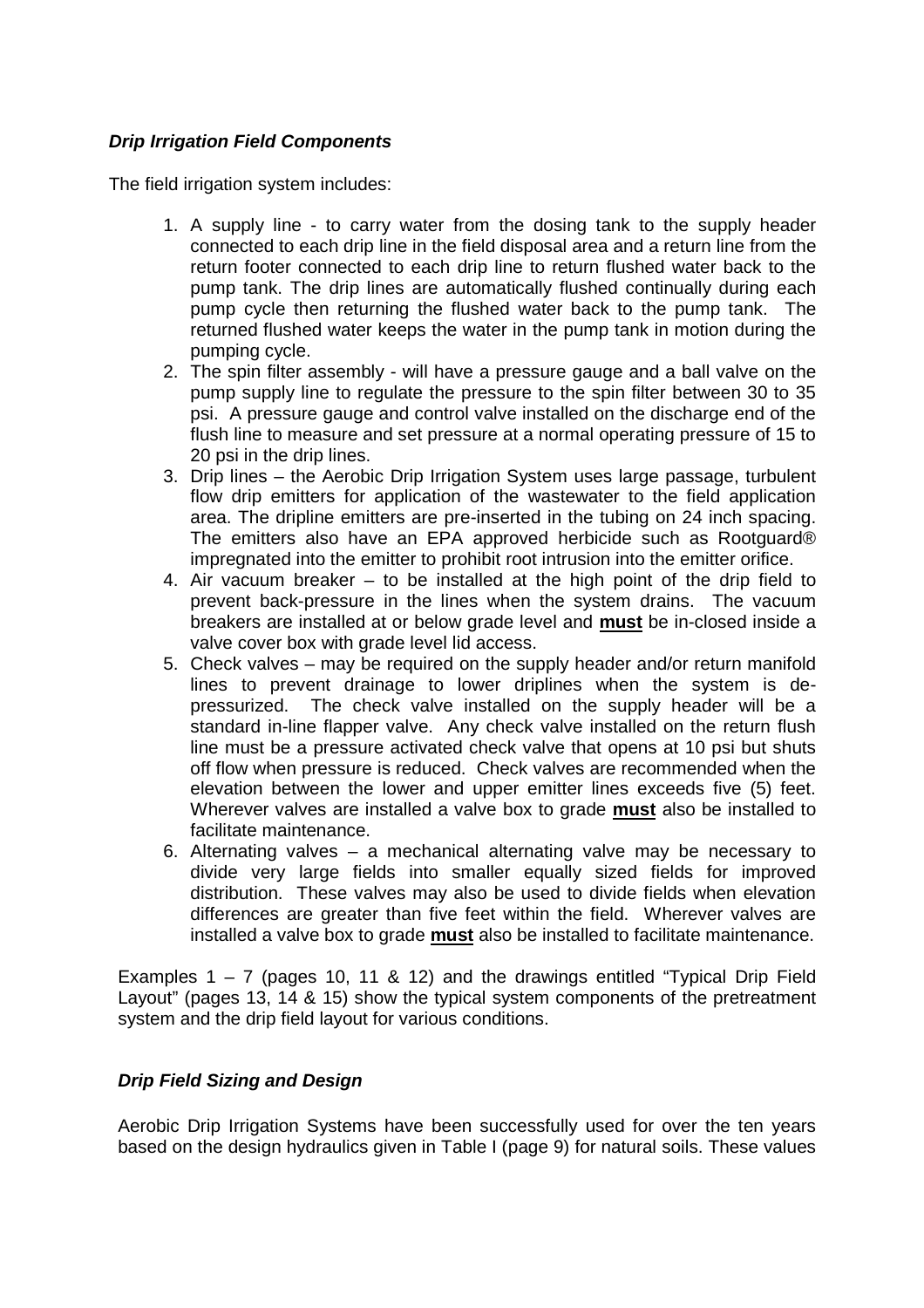### *Drip Irrigation Field Components*

The field irrigation system includes:

- 1. A supply line to carry water from the dosing tank to the supply header connected to each drip line in the field disposal area and a return line from the return footer connected to each drip line to return flushed water back to the pump tank. The drip lines are automatically flushed continually during each pump cycle then returning the flushed water back to the pump tank. The returned flushed water keeps the water in the pump tank in motion during the pumping cycle.
- 2. The spin filter assembly will have a pressure gauge and a ball valve on the pump supply line to regulate the pressure to the spin filter between 30 to 35 psi. A pressure gauge and control valve installed on the discharge end of the flush line to measure and set pressure at a normal operating pressure of 15 to 20 psi in the drip lines.
- 3. Drip lines the Aerobic Drip Irrigation System uses large passage, turbulent flow drip emitters for application of the wastewater to the field application area. The dripline emitters are pre-inserted in the tubing on 24 inch spacing. The emitters also have an EPA approved herbicide such as Rootguard® impregnated into the emitter to prohibit root intrusion into the emitter orifice.
- 4. Air vacuum breaker to be installed at the high point of the drip field to prevent back-pressure in the lines when the system drains. The vacuum breakers are installed at or below grade level and **must** be in-closed inside a valve cover box with grade level lid access.
- 5. Check valves may be required on the supply header and/or return manifold lines to prevent drainage to lower driplines when the system is depressurized. The check valve installed on the supply header will be a standard in-line flapper valve. Any check valve installed on the return flush line must be a pressure activated check valve that opens at 10 psi but shuts off flow when pressure is reduced. Check valves are recommended when the elevation between the lower and upper emitter lines exceeds five (5) feet. Wherever valves are installed a valve box to grade **must** also be installed to facilitate maintenance.
- 6. Alternating valves a mechanical alternating valve may be necessary to divide very large fields into smaller equally sized fields for improved distribution. These valves may also be used to divide fields when elevation differences are greater than five feet within the field. Wherever valves are installed a valve box to grade **must** also be installed to facilitate maintenance.

Examples  $1 - 7$  (pages 10, 11 & 12) and the drawings entitled "Typical Drip Field Layout" (pages 13, 14 & 15) show the typical system components of the pretreatment system and the drip field layout for various conditions.

### *Drip Field Sizing and Design*

Aerobic Drip Irrigation Systems have been successfully used for over the ten years based on the design hydraulics given in Table I (page 9) for natural soils. These values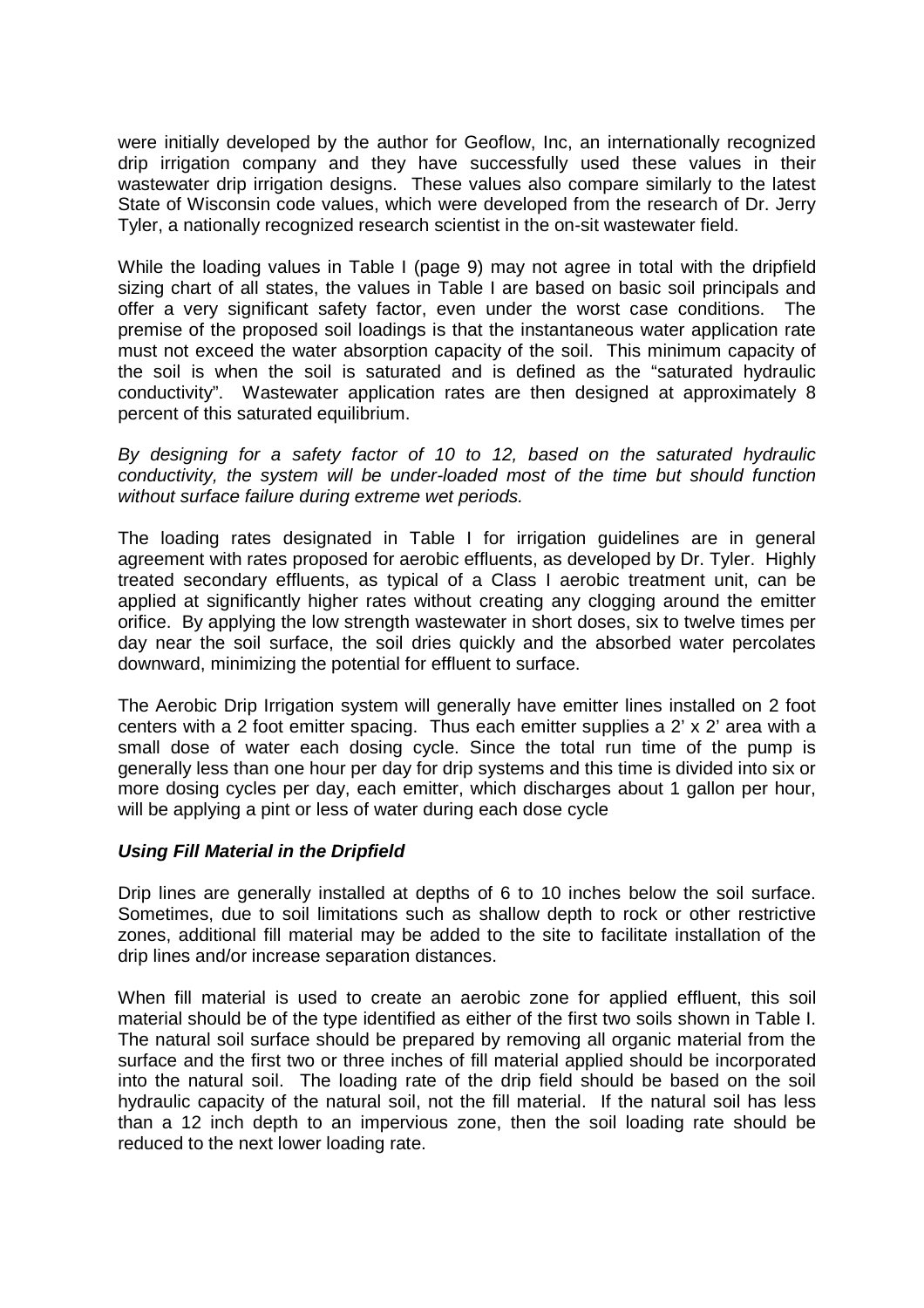were initially developed by the author for Geoflow, Inc, an internationally recognized drip irrigation company and they have successfully used these values in their wastewater drip irrigation designs. These values also compare similarly to the latest State of Wisconsin code values, which were developed from the research of Dr. Jerry Tyler, a nationally recognized research scientist in the on-sit wastewater field.

While the loading values in Table I (page 9) may not agree in total with the dripfield sizing chart of all states, the values in Table I are based on basic soil principals and offer a very significant safety factor, even under the worst case conditions. The premise of the proposed soil loadings is that the instantaneous water application rate must not exceed the water absorption capacity of the soil. This minimum capacity of the soil is when the soil is saturated and is defined as the "saturated hydraulic conductivity". Wastewater application rates are then designed at approximately 8 percent of this saturated equilibrium.

*By designing for a safety factor of 10 to 12, based on the saturated hydraulic conductivity, the system will be under-loaded most of the time but should function without surface failure during extreme wet periods.*

The loading rates designated in Table I for irrigation guidelines are in general agreement with rates proposed for aerobic effluents, as developed by Dr. Tyler. Highly treated secondary effluents, as typical of a Class I aerobic treatment unit, can be applied at significantly higher rates without creating any clogging around the emitter orifice. By applying the low strength wastewater in short doses, six to twelve times per day near the soil surface, the soil dries quickly and the absorbed water percolates downward, minimizing the potential for effluent to surface.

The Aerobic Drip Irrigation system will generally have emitter lines installed on 2 foot centers with a 2 foot emitter spacing. Thus each emitter supplies a 2' x 2' area with a small dose of water each dosing cycle. Since the total run time of the pump is generally less than one hour per day for drip systems and this time is divided into six or more dosing cycles per day, each emitter, which discharges about 1 gallon per hour, will be applying a pint or less of water during each dose cycle

#### *Using Fill Material in the Dripfield*

Drip lines are generally installed at depths of 6 to 10 inches below the soil surface. Sometimes, due to soil limitations such as shallow depth to rock or other restrictive zones, additional fill material may be added to the site to facilitate installation of the drip lines and/or increase separation distances.

When fill material is used to create an aerobic zone for applied effluent, this soil material should be of the type identified as either of the first two soils shown in Table I. The natural soil surface should be prepared by removing all organic material from the surface and the first two or three inches of fill material applied should be incorporated into the natural soil. The loading rate of the drip field should be based on the soil hydraulic capacity of the natural soil, not the fill material. If the natural soil has less than a 12 inch depth to an impervious zone, then the soil loading rate should be reduced to the next lower loading rate.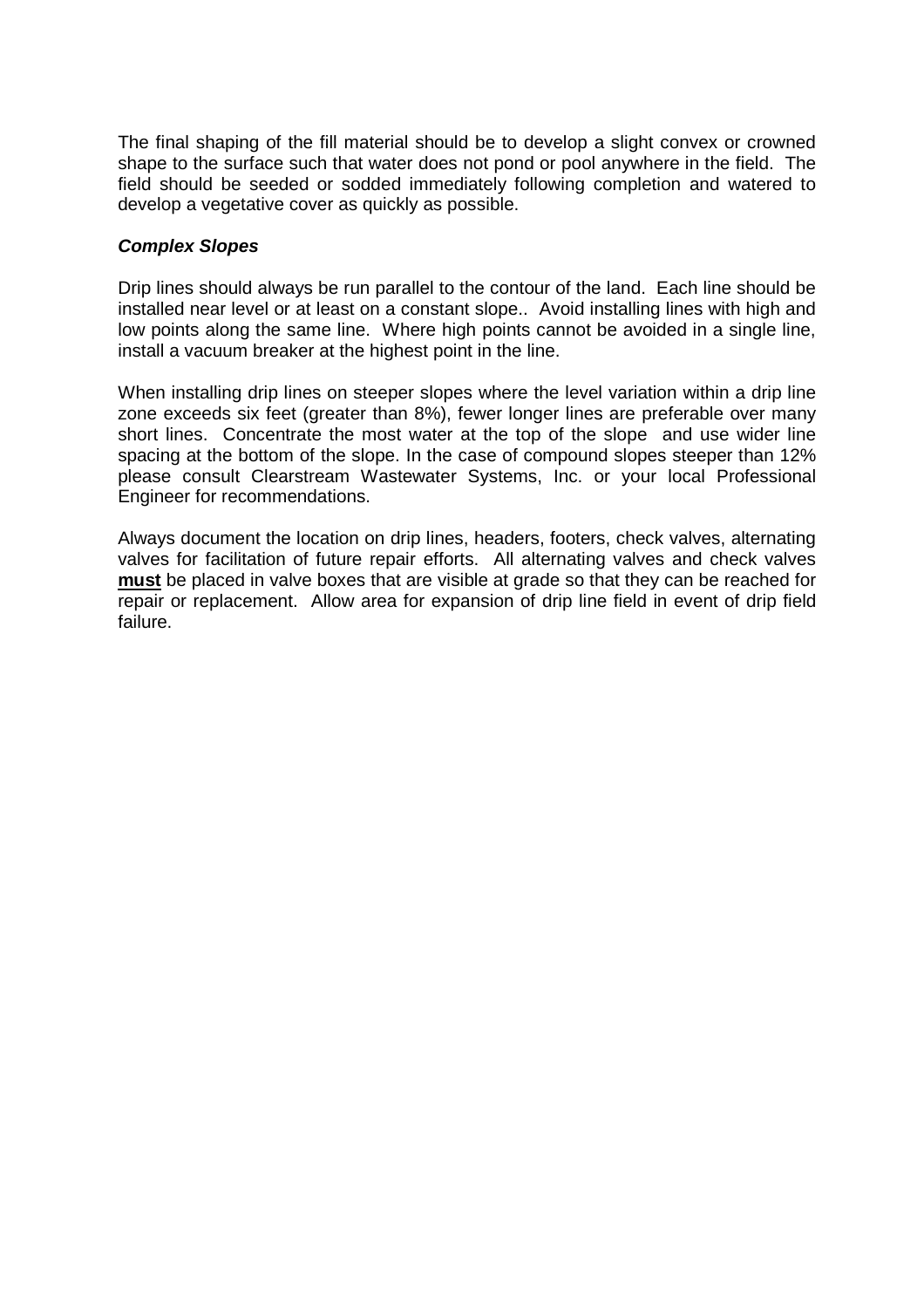The final shaping of the fill material should be to develop a slight convex or crowned shape to the surface such that water does not pond or pool anywhere in the field. The field should be seeded or sodded immediately following completion and watered to develop a vegetative cover as quickly as possible.

#### *Complex Slopes*

Drip lines should always be run parallel to the contour of the land. Each line should be installed near level or at least on a constant slope.. Avoid installing lines with high and low points along the same line. Where high points cannot be avoided in a single line, install a vacuum breaker at the highest point in the line.

When installing drip lines on steeper slopes where the level variation within a drip line zone exceeds six feet (greater than 8%), fewer longer lines are preferable over many short lines. Concentrate the most water at the top of the slope and use wider line spacing at the bottom of the slope. In the case of compound slopes steeper than 12% please consult Clearstream Wastewater Systems, Inc. or your local Professional Engineer for recommendations.

Always document the location on drip lines, headers, footers, check valves, alternating valves for facilitation of future repair efforts. All alternating valves and check valves **must** be placed in valve boxes that are visible at grade so that they can be reached for repair or replacement. Allow area for expansion of drip line field in event of drip field failure.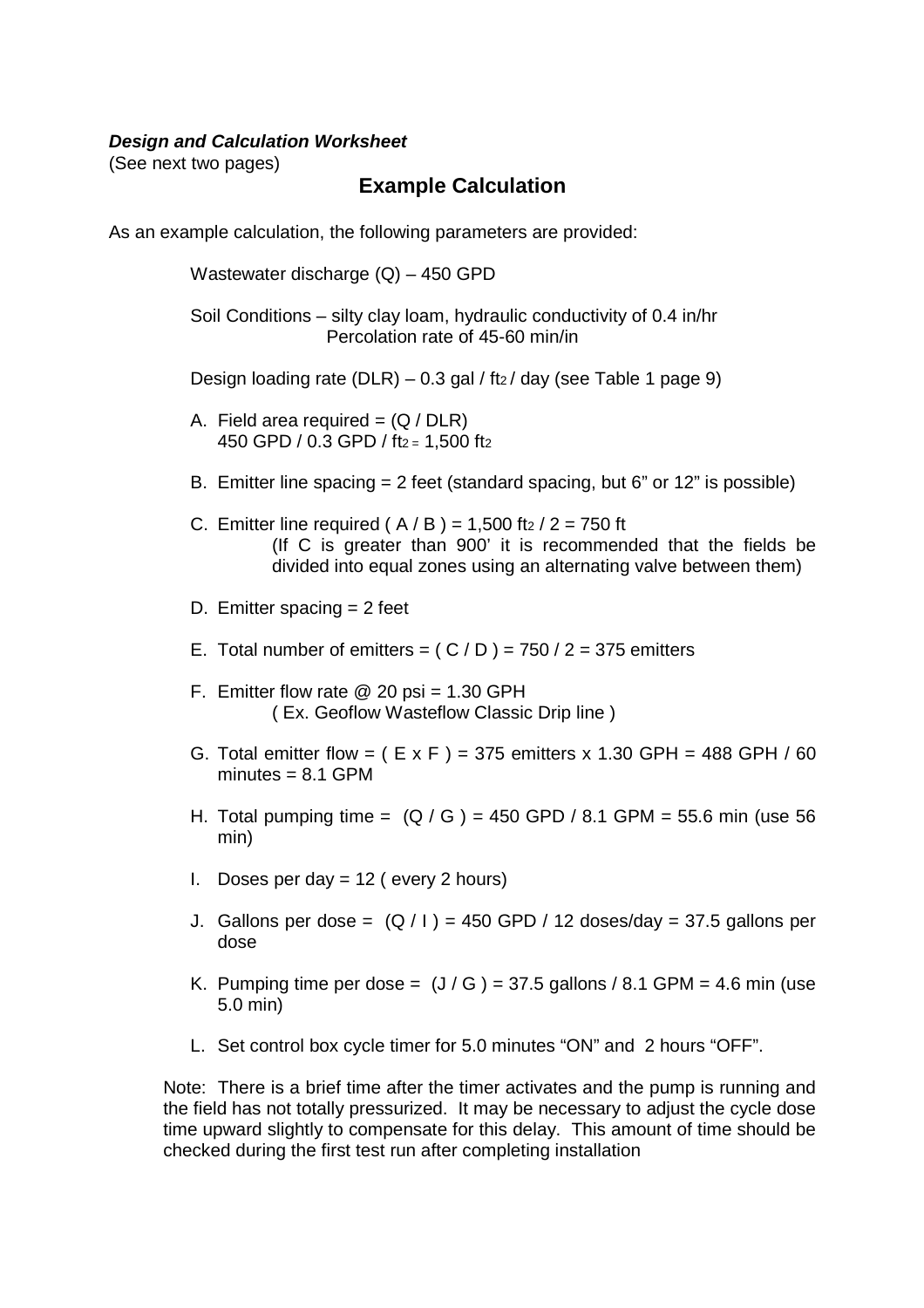#### *Design and Calculation Worksheet*

(See next two pages)

## **Example Calculation**

As an example calculation, the following parameters are provided:

Wastewater discharge (Q) – 450 GPD

Soil Conditions – silty clay loam, hydraulic conductivity of 0.4 in/hr Percolation rate of 45-60 min/in

Design loading rate (DLR) – 0.3 gal / ft $_2$ / day (see Table 1 page 9)

- A. Field area required  $= (Q / DLR)$ 450 GPD / 0.3 GPD / ft2 = 1,500 ft2
- B. Emitter line spacing = 2 feet (standard spacing, but 6" or 12" is possible)
- C. Emitter line required ( $A / B$ ) = 1,500 ft $2 / 2 = 750$  ft (If C is greater than 900' it is recommended that the fields be divided into equal zones using an alternating valve between them)
- D. Emitter spacing = 2 feet
- E. Total number of emitters =  $(C/D)$  = 750 / 2 = 375 emitters
- F. Emitter flow rate  $\omega$  20 psi = 1.30 GPH ( Ex. Geoflow Wasteflow Classic Drip line )
- G. Total emitter flow =  $(E \times F)$  = 375 emitters x 1.30 GPH = 488 GPH / 60 minutes  $= 8.1$  GPM
- H. Total pumping time =  $(Q / G)$  = 450 GPD / 8.1 GPM = 55.6 min (use 56 min)
- I. Doses per day  $= 12$  ( every 2 hours)
- J. Gallons per dose =  $(Q / I)$  = 450 GPD / 12 doses/day = 37.5 gallons per dose
- K. Pumping time per dose =  $(J/G)$  = 37.5 gallons / 8.1 GPM = 4.6 min (use 5.0 min)
- L. Set control box cycle timer for 5.0 minutes "ON" and 2 hours "OFF".

Note: There is a brief time after the timer activates and the pump is running and the field has not totally pressurized. It may be necessary to adjust the cycle dose time upward slightly to compensate for this delay. This amount of time should be checked during the first test run after completing installation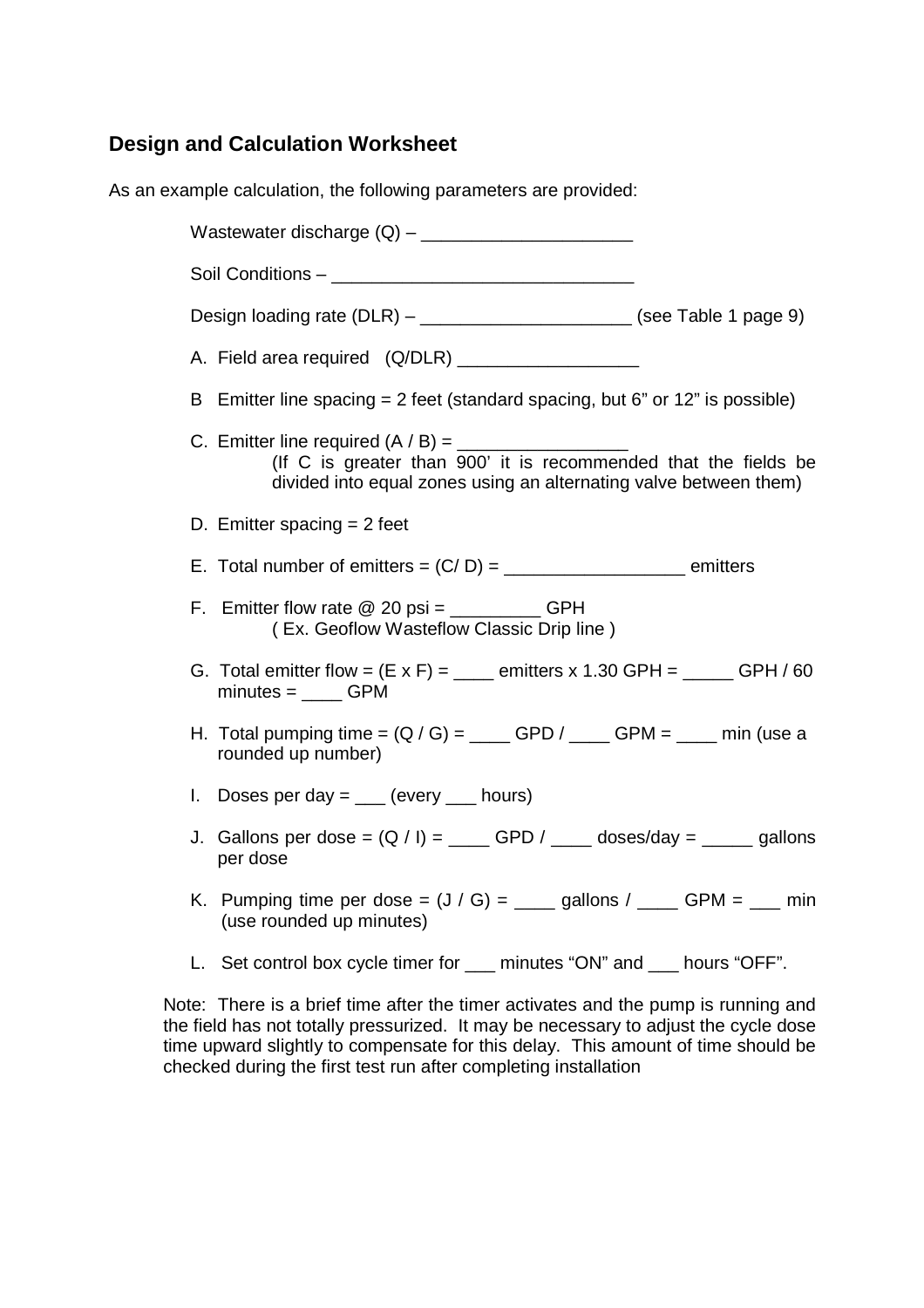# **Design and Calculation Worksheet**

As an example calculation, the following parameters are provided:

Wastewater discharge  $(Q)$  – Soil Conditions – Design loading rate  $(DLR)$  – \_\_\_\_\_\_\_\_\_\_\_\_\_\_\_\_\_\_\_\_\_\_\_\_\_ (see Table 1 page 9) A. Field area required (Q/DLR) \_\_\_\_\_\_\_\_\_\_\_\_\_\_\_\_\_\_ B Emitter line spacing = 2 feet (standard spacing, but 6" or 12" is possible) C. Emitter line required  $(A / B) =$ (If C is greater than 900' it is recommended that the fields be divided into equal zones using an alternating valve between them) D. Emitter spacing  $= 2$  feet E. Total number of emitters = (C/ D) = \_\_\_\_\_\_\_\_\_\_\_\_\_\_\_\_\_\_ emitters F. Emitter flow rate  $@$  20 psi =  $@$ ( Ex. Geoflow Wasteflow Classic Drip line ) G. Total emitter flow =  $(E \times F)$  = emitters x 1.30 GPH = GPH / 60  $minutes =$  GPM H. Total pumping time =  $(Q / G)$  = \_\_\_\_ GPD / \_\_\_\_ GPM = \_\_\_\_ min (use a rounded up number) I. Doses per day  $=$  (every hours) J. Gallons per dose =  $(Q / I)$  = \_\_\_\_ GPD  $/$  \_\_\_\_ doses/day = \_\_\_\_ gallons per dose K. Pumping time per dose =  $(J / G) =$  \_\_\_\_\_ gallons  $/$  \_\_\_\_\_ GPM = \_\_\_\_ min (use rounded up minutes) L. Set control box cycle timer for \_\_\_ minutes "ON" and \_\_\_ hours "OFF".

Note: There is a brief time after the timer activates and the pump is running and the field has not totally pressurized. It may be necessary to adjust the cycle dose time upward slightly to compensate for this delay. This amount of time should be checked during the first test run after completing installation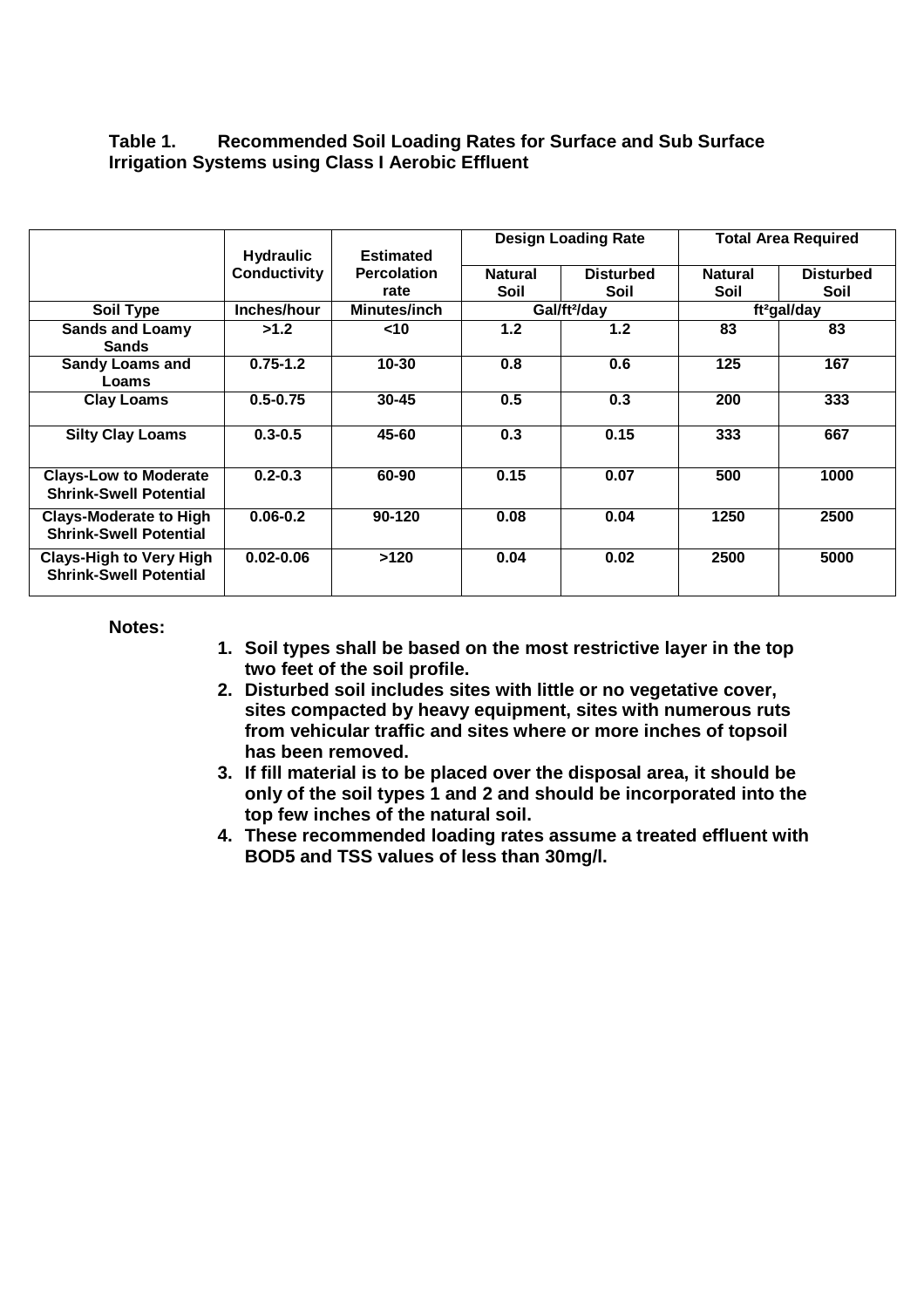### **Table 1. Recommended Soil Loading Rates for Surface and Sub Surface Irrigation Systems using Class I Aerobic Effluent**

|                                                                 | <b>Hydraulic</b> | <b>Estimated</b>   | <b>Design Loading Rate</b> |                  | <b>Total Area Required</b> |                  |
|-----------------------------------------------------------------|------------------|--------------------|----------------------------|------------------|----------------------------|------------------|
|                                                                 | Conductivity     | <b>Percolation</b> | <b>Natural</b>             | <b>Disturbed</b> | <b>Natural</b>             | <b>Disturbed</b> |
|                                                                 |                  | rate               | Soil                       | Soil             | Soil                       | Soil             |
| Soil Type                                                       | Inches/hour      | Minutes/inch       | Gal/ft <sup>2</sup> /day   |                  | ft <sup>2</sup> gal/day    |                  |
| <b>Sands and Loamy</b><br><b>Sands</b>                          | >1.2             | $<$ 10             | 1.2                        | 1.2 <sub>2</sub> | 83                         | 83               |
| <b>Sandy Loams and</b><br>Loams                                 | $0.75 - 1.2$     | $10 - 30$          | 0.8                        | 0.6              | 125                        | 167              |
| <b>Clay Loams</b>                                               | $0.5 - 0.75$     | $30 - 45$          | 0.5                        | 0.3              | 200                        | 333              |
| <b>Silty Clay Loams</b>                                         | $0.3 - 0.5$      | 45-60              | 0.3                        | 0.15             | 333                        | 667              |
| <b>Clays-Low to Moderate</b><br><b>Shrink-Swell Potential</b>   | $0.2 - 0.3$      | 60-90              | 0.15                       | 0.07             | 500                        | 1000             |
| <b>Clays-Moderate to High</b><br><b>Shrink-Swell Potential</b>  | $0.06 - 0.2$     | 90-120             | 0.08                       | 0.04             | 1250                       | 2500             |
| <b>Clays-High to Very High</b><br><b>Shrink-Swell Potential</b> | $0.02 - 0.06$    | >120               | 0.04                       | 0.02             | 2500                       | 5000             |

**Notes:**

- **1. Soil types shall be based on the most restrictive layer in the top two feet of the soil profile.**
- **2. Disturbed soil includes sites with little or no vegetative cover, sites compacted by heavy equipment, sites with numerous ruts from vehicular traffic and sites where or more inches of topsoil has been removed.**
- **3. If fill material is to be placed over the disposal area, it should be only of the soil types 1 and 2 and should be incorporated into the top few inches of the natural soil.**
- **4. These recommended loading rates assume a treated effluent with BOD5 and TSS values of less than 30mg/l.**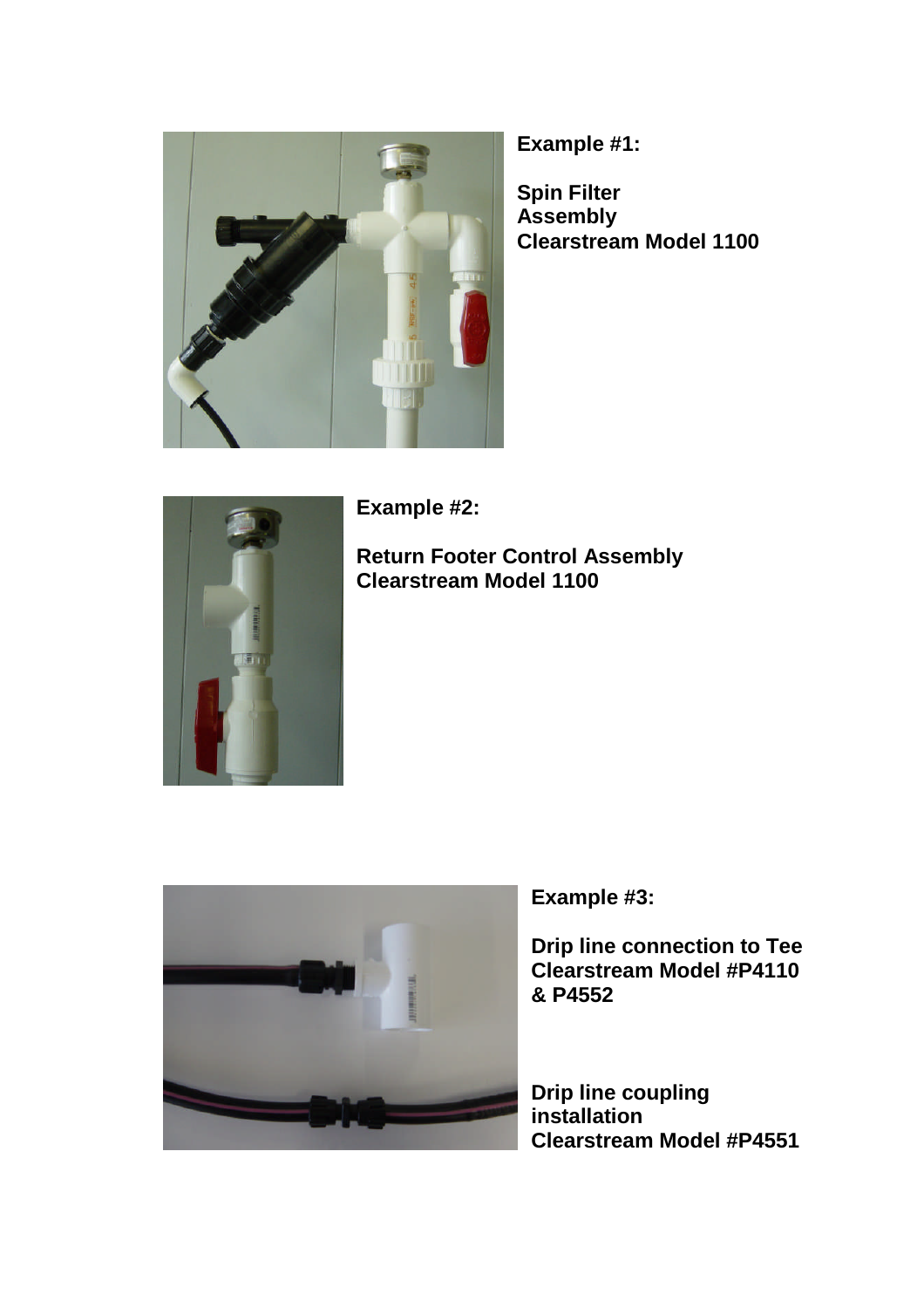

**Example #1:**

**Spin Filter Assembly Clearstream Model 1100**



**Example #2:**

**Return Footer Control Assembly Clearstream Model 1100**



**Example #3:**

**Drip line connection to Tee Clearstream Model #P4110 & P4552**

**Drip line coupling installation Clearstream Model #P4551**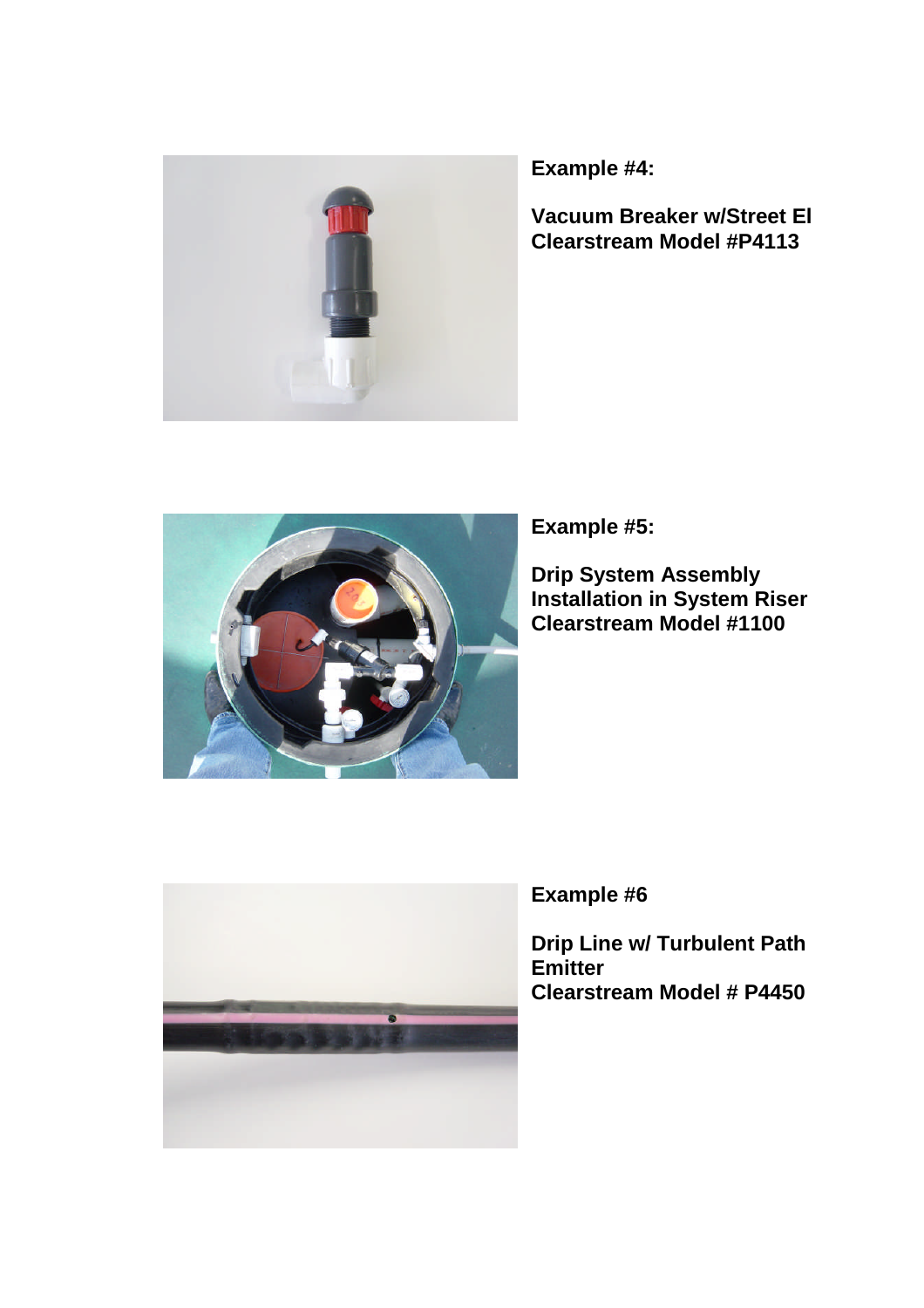

**Example #4:**

**Vacuum Breaker w/Street El Clearstream Model #P4113**



**Example #5:**

**Drip System Assembly Installation in System Riser Clearstream Model #1100**



**Example #6**

**Drip Line w/ Turbulent Path Emitter Clearstream Model # P4450**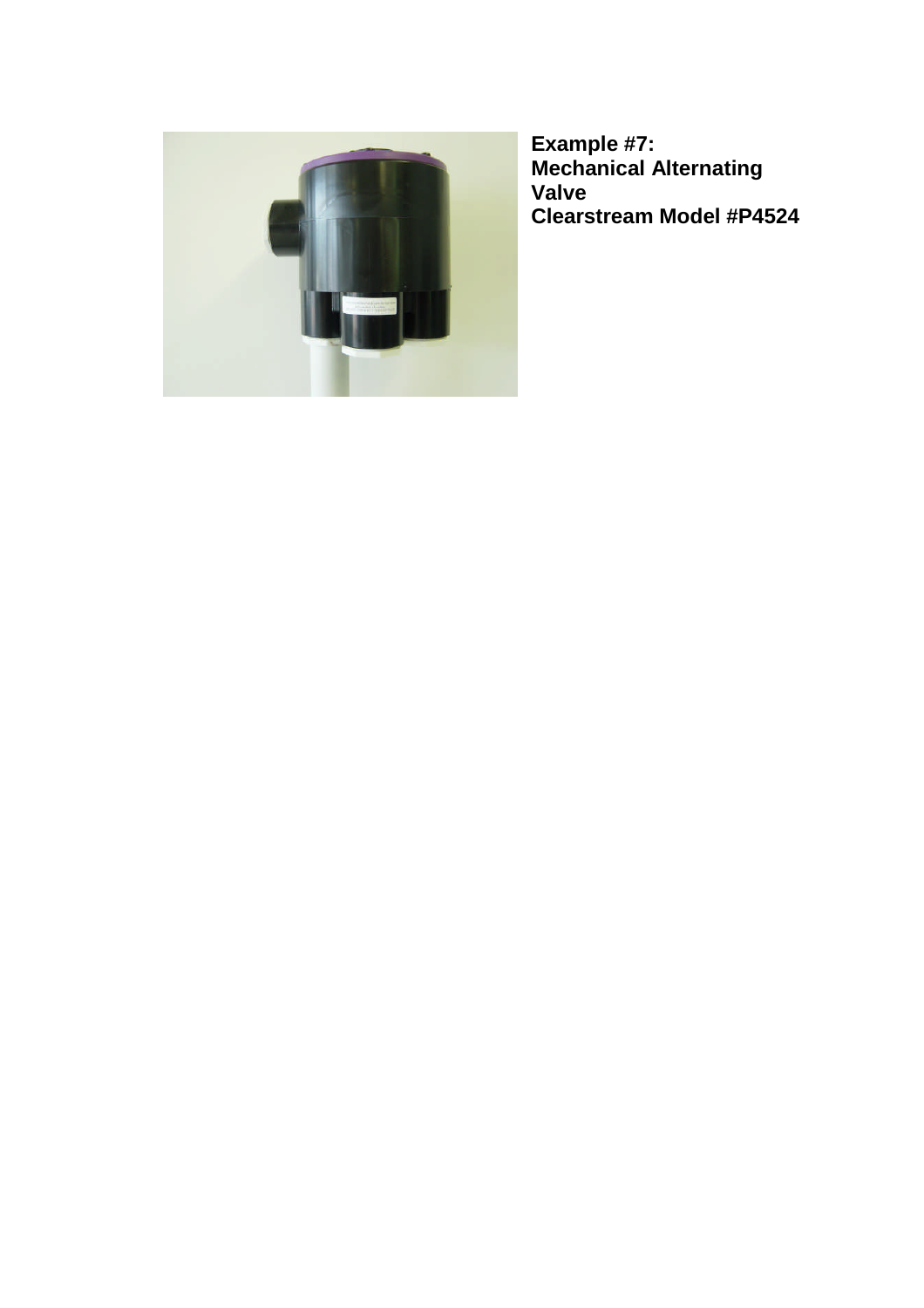

**Example #7: Mechanical Alternating Valve Clearstream Model #P4524**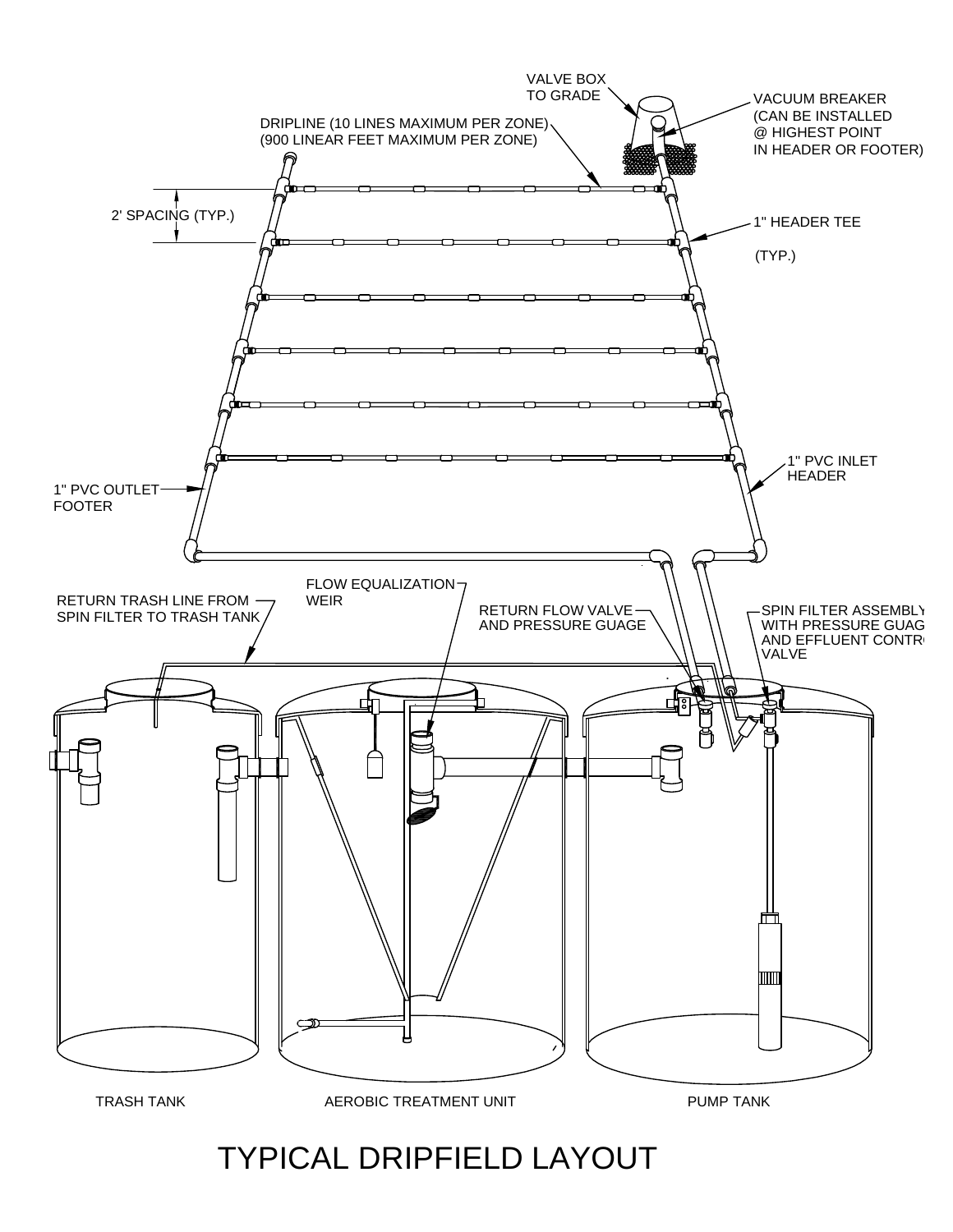# TYPICAL DRIPFIELD LAYOUT

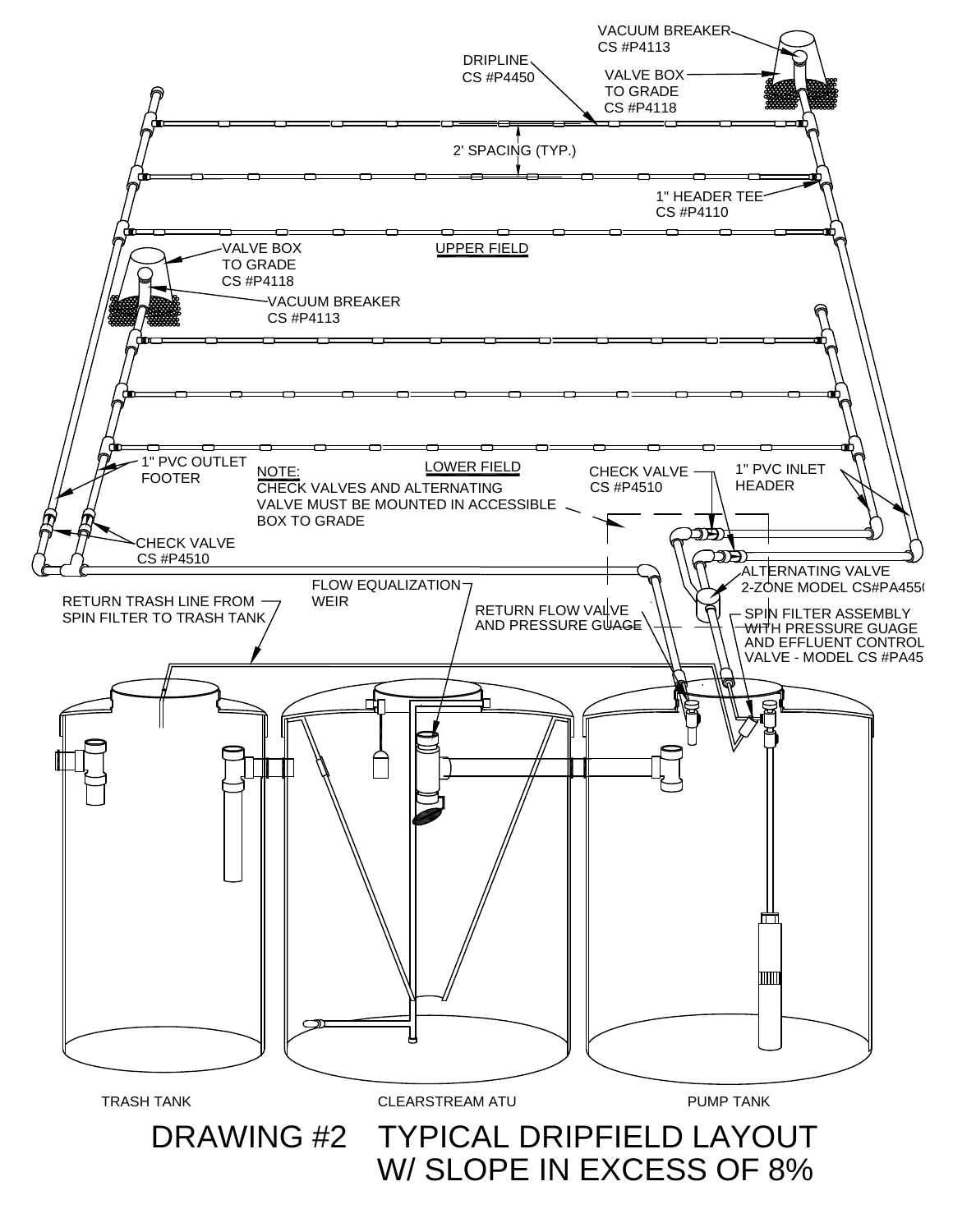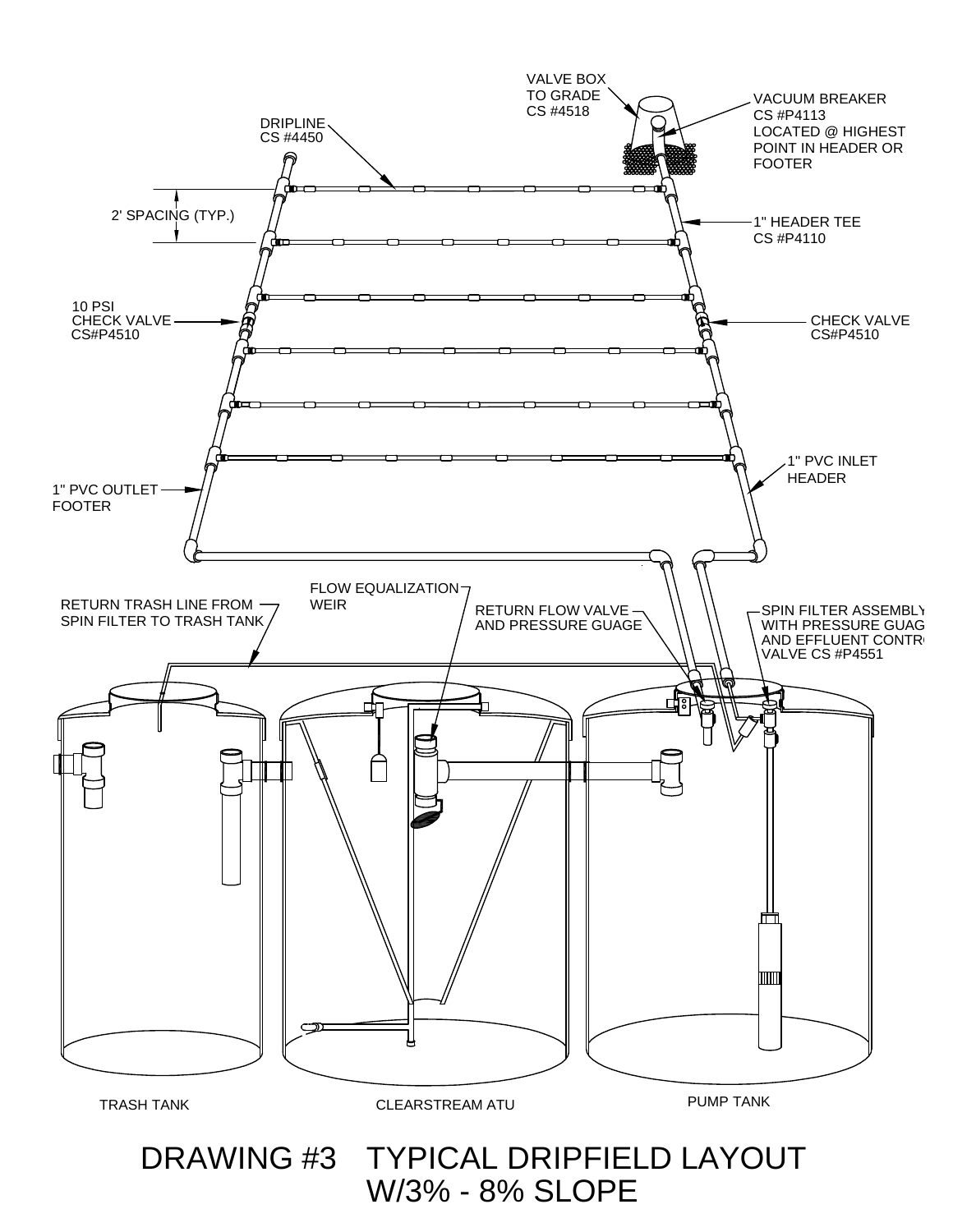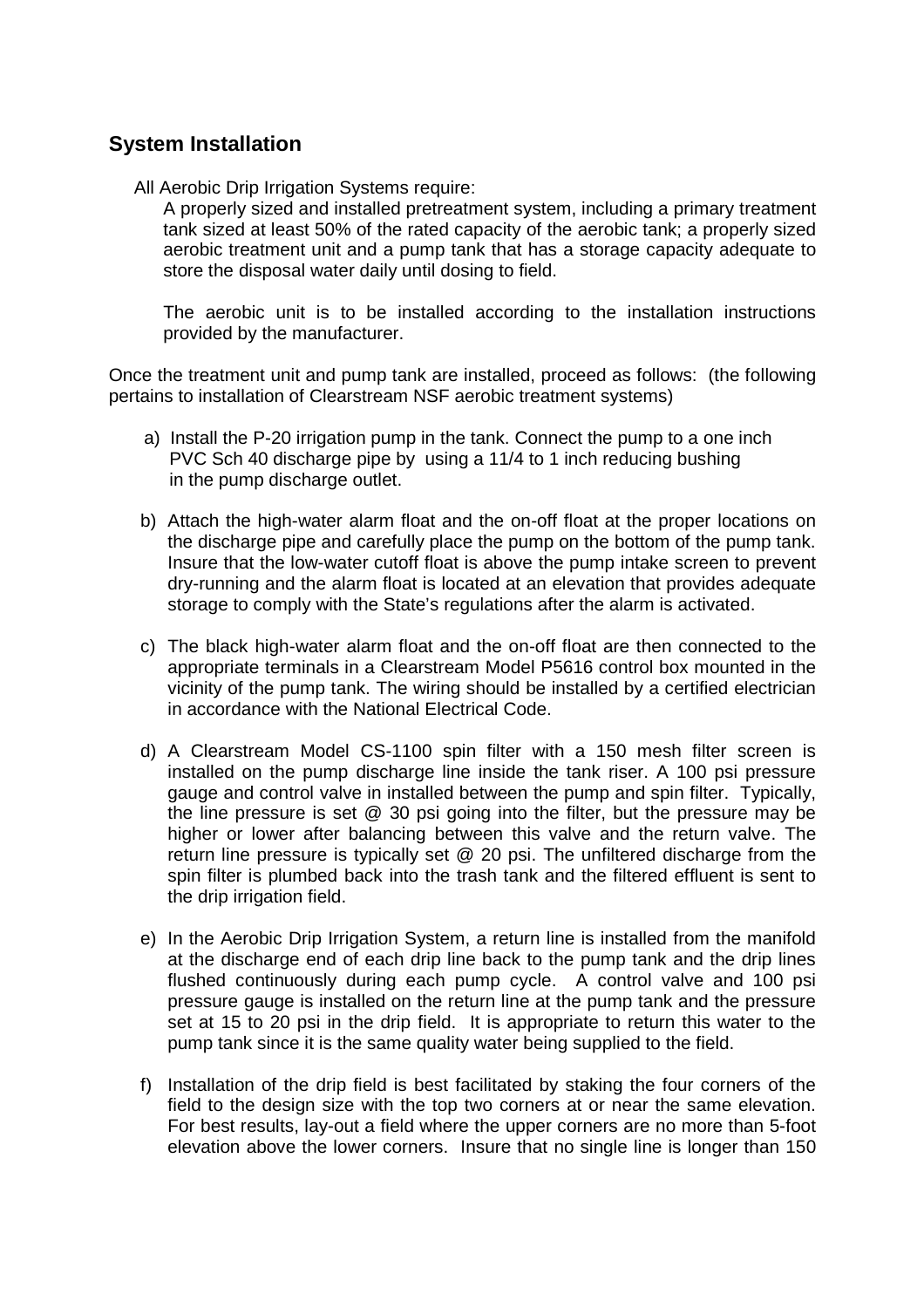# **System Installation**

All Aerobic Drip Irrigation Systems require:

A properly sized and installed pretreatment system, including a primary treatment tank sized at least 50% of the rated capacity of the aerobic tank; a properly sized aerobic treatment unit and a pump tank that has a storage capacity adequate to store the disposal water daily until dosing to field.

The aerobic unit is to be installed according to the installation instructions provided by the manufacturer.

Once the treatment unit and pump tank are installed, proceed as follows: (the following pertains to installation of Clearstream NSF aerobic treatment systems)

- a) Install the P-20 irrigation pump in the tank. Connect the pump to a one inch PVC Sch 40 discharge pipe by using a 11/4 to 1 inch reducing bushing in the pump discharge outlet.
- b) Attach the high-water alarm float and the on-off float at the proper locations on the discharge pipe and carefully place the pump on the bottom of the pump tank. Insure that the low-water cutoff float is above the pump intake screen to prevent dry-running and the alarm float is located at an elevation that provides adequate storage to comply with the State's regulations after the alarm is activated.
- c) The black high-water alarm float and the on-off float are then connected to the appropriate terminals in a Clearstream Model P5616 control box mounted in the vicinity of the pump tank. The wiring should be installed by a certified electrician in accordance with the National Electrical Code.
- d) A Clearstream Model CS-1100 spin filter with a 150 mesh filter screen is installed on the pump discharge line inside the tank riser. A 100 psi pressure gauge and control valve in installed between the pump and spin filter. Typically, the line pressure is set @ 30 psi going into the filter, but the pressure may be higher or lower after balancing between this valve and the return valve. The return line pressure is typically set @ 20 psi. The unfiltered discharge from the spin filter is plumbed back into the trash tank and the filtered effluent is sent to the drip irrigation field.
- e) In the Aerobic Drip Irrigation System, a return line is installed from the manifold at the discharge end of each drip line back to the pump tank and the drip lines flushed continuously during each pump cycle. A control valve and 100 psi pressure gauge is installed on the return line at the pump tank and the pressure set at 15 to 20 psi in the drip field. It is appropriate to return this water to the pump tank since it is the same quality water being supplied to the field.
- f) Installation of the drip field is best facilitated by staking the four corners of the field to the design size with the top two corners at or near the same elevation. For best results, lay-out a field where the upper corners are no more than 5-foot elevation above the lower corners. Insure that no single line is longer than 150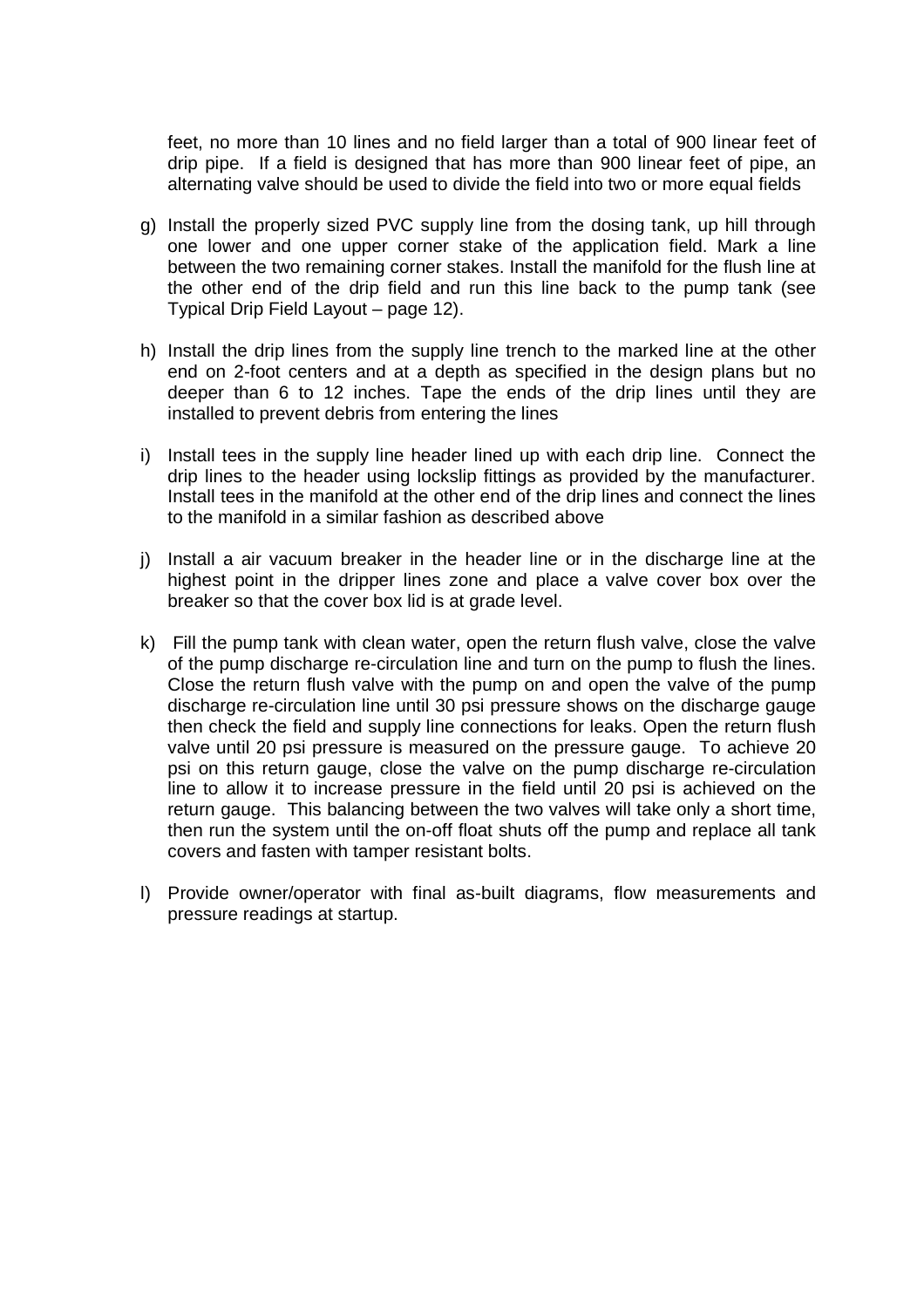feet, no more than 10 lines and no field larger than a total of 900 linear feet of drip pipe. If a field is designed that has more than 900 linear feet of pipe, an alternating valve should be used to divide the field into two or more equal fields

- g) Install the properly sized PVC supply line from the dosing tank, up hill through one lower and one upper corner stake of the application field. Mark a line between the two remaining corner stakes. Install the manifold for the flush line at the other end of the drip field and run this line back to the pump tank (see Typical Drip Field Layout – page 12).
- h) Install the drip lines from the supply line trench to the marked line at the other end on 2-foot centers and at a depth as specified in the design plans but no deeper than 6 to 12 inches. Tape the ends of the drip lines until they are installed to prevent debris from entering the lines
- i) Install tees in the supply line header lined up with each drip line. Connect the drip lines to the header using lockslip fittings as provided by the manufacturer. Install tees in the manifold at the other end of the drip lines and connect the lines to the manifold in a similar fashion as described above
- j) Install a air vacuum breaker in the header line or in the discharge line at the highest point in the dripper lines zone and place a valve cover box over the breaker so that the cover box lid is at grade level.
- k) Fill the pump tank with clean water, open the return flush valve, close the valve of the pump discharge re-circulation line and turn on the pump to flush the lines. Close the return flush valve with the pump on and open the valve of the pump discharge re-circulation line until 30 psi pressure shows on the discharge gauge then check the field and supply line connections for leaks. Open the return flush valve until 20 psi pressure is measured on the pressure gauge. To achieve 20 psi on this return gauge, close the valve on the pump discharge re-circulation line to allow it to increase pressure in the field until 20 psi is achieved on the return gauge. This balancing between the two valves will take only a short time, then run the system until the on-off float shuts off the pump and replace all tank covers and fasten with tamper resistant bolts.
- l) Provide owner/operator with final as-built diagrams, flow measurements and pressure readings at startup.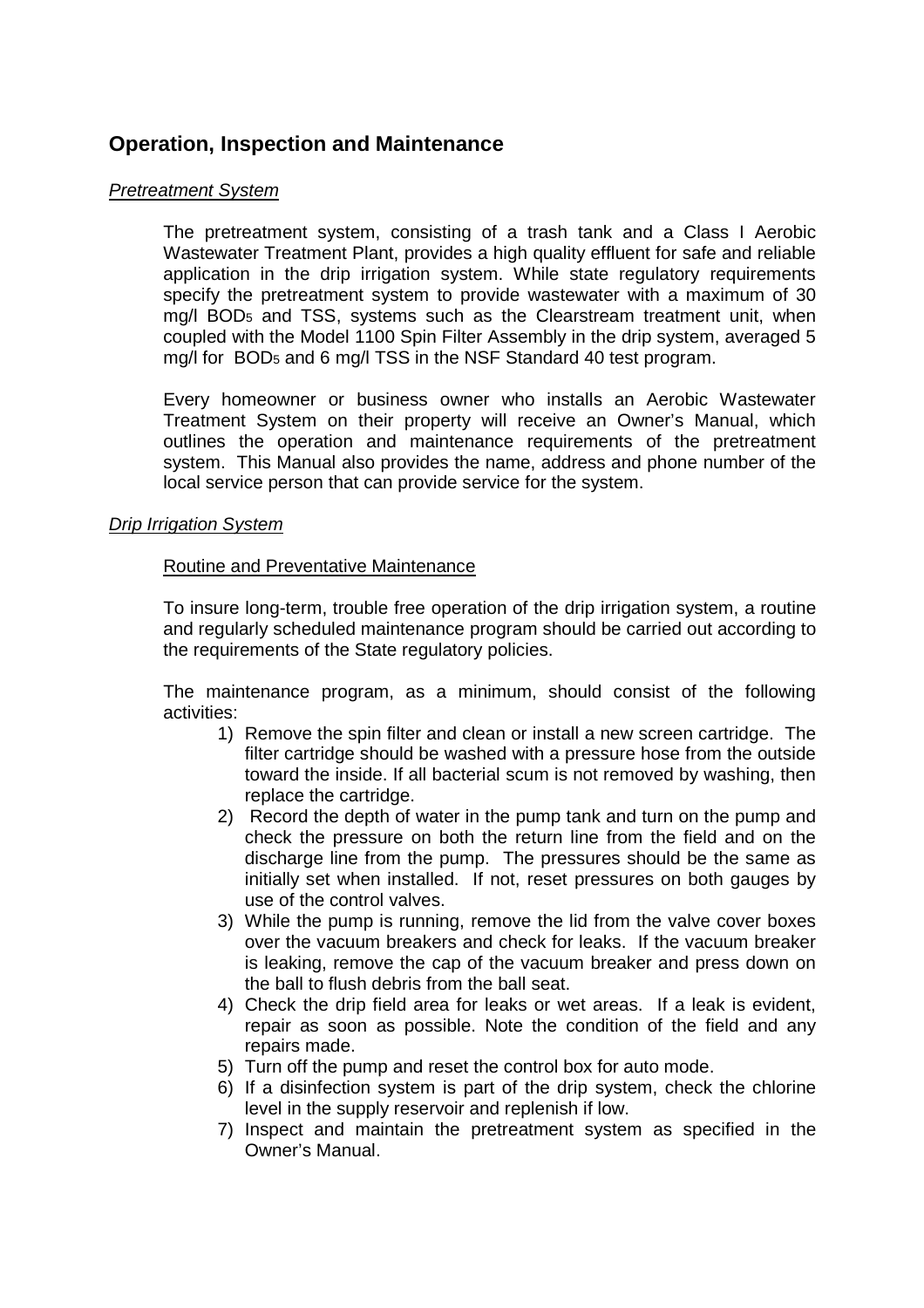## **Operation, Inspection and Maintenance**

#### *Pretreatment System*

The pretreatment system, consisting of a trash tank and a Class I Aerobic Wastewater Treatment Plant, provides a high quality effluent for safe and reliable application in the drip irrigation system. While state regulatory requirements specify the pretreatment system to provide wastewater with a maximum of 30 mg/l BOD<sup>5</sup> and TSS, systems such as the Clearstream treatment unit, when coupled with the Model 1100 Spin Filter Assembly in the drip system, averaged 5 mg/l for BOD<sup>5</sup> and 6 mg/l TSS in the NSF Standard 40 test program.

Every homeowner or business owner who installs an Aerobic Wastewater Treatment System on their property will receive an Owner's Manual, which outlines the operation and maintenance requirements of the pretreatment system. This Manual also provides the name, address and phone number of the local service person that can provide service for the system.

#### *Drip Irrigation System*

#### Routine and Preventative Maintenance

To insure long-term, trouble free operation of the drip irrigation system, a routine and regularly scheduled maintenance program should be carried out according to the requirements of the State regulatory policies.

The maintenance program, as a minimum, should consist of the following activities:

- 1) Remove the spin filter and clean or install a new screen cartridge. The filter cartridge should be washed with a pressure hose from the outside toward the inside. If all bacterial scum is not removed by washing, then replace the cartridge.
- 2) Record the depth of water in the pump tank and turn on the pump and check the pressure on both the return line from the field and on the discharge line from the pump. The pressures should be the same as initially set when installed. If not, reset pressures on both gauges by use of the control valves.
- 3) While the pump is running, remove the lid from the valve cover boxes over the vacuum breakers and check for leaks. If the vacuum breaker is leaking, remove the cap of the vacuum breaker and press down on the ball to flush debris from the ball seat.
- 4) Check the drip field area for leaks or wet areas. If a leak is evident, repair as soon as possible. Note the condition of the field and any repairs made.
- 5) Turn off the pump and reset the control box for auto mode.
- 6) If a disinfection system is part of the drip system, check the chlorine level in the supply reservoir and replenish if low.
- 7) Inspect and maintain the pretreatment system as specified in the Owner's Manual.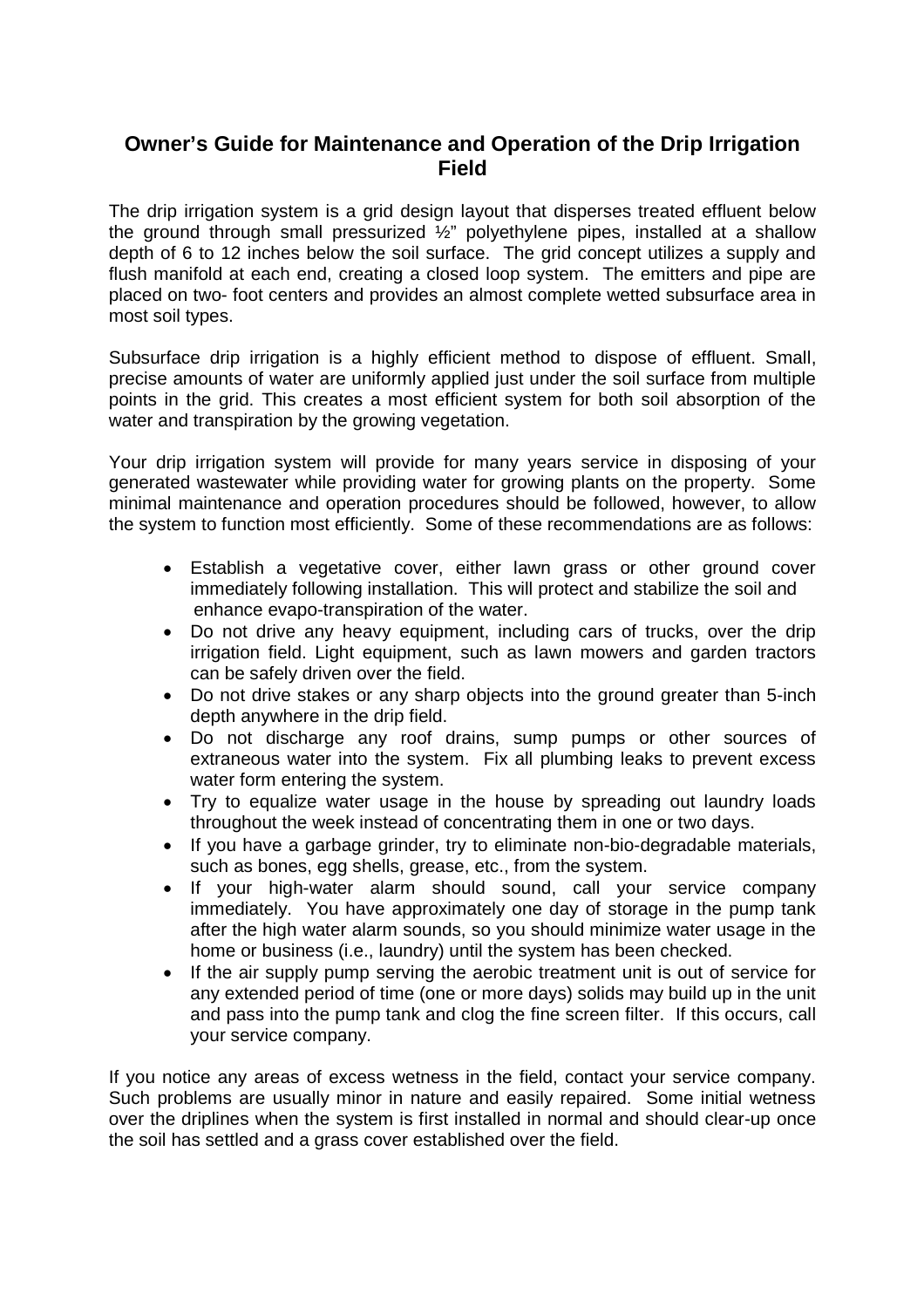# **Owner's Guide for Maintenance and Operation of the Drip Irrigation Field**

The drip irrigation system is a grid design layout that disperses treated effluent below the ground through small pressurized ½" polyethylene pipes, installed at a shallow depth of 6 to 12 inches below the soil surface. The grid concept utilizes a supply and flush manifold at each end, creating a closed loop system. The emitters and pipe are placed on two- foot centers and provides an almost complete wetted subsurface area in most soil types.

Subsurface drip irrigation is a highly efficient method to dispose of effluent. Small, precise amounts of water are uniformly applied just under the soil surface from multiple points in the grid. This creates a most efficient system for both soil absorption of the water and transpiration by the growing vegetation.

Your drip irrigation system will provide for many years service in disposing of your generated wastewater while providing water for growing plants on the property. Some minimal maintenance and operation procedures should be followed, however, to allow the system to function most efficiently. Some of these recommendations are as follows:

- Establish a vegetative cover, either lawn grass or other ground cover immediately following installation. This will protect and stabilize the soil and enhance evapo-transpiration of the water.
- Do not drive any heavy equipment, including cars of trucks, over the drip irrigation field. Light equipment, such as lawn mowers and garden tractors can be safely driven over the field.
- Do not drive stakes or any sharp objects into the ground greater than 5-inch depth anywhere in the drip field.
- Do not discharge any roof drains, sump pumps or other sources of extraneous water into the system. Fix all plumbing leaks to prevent excess water form entering the system.
- Try to equalize water usage in the house by spreading out laundry loads throughout the week instead of concentrating them in one or two days.
- If you have a garbage grinder, try to eliminate non-bio-degradable materials, such as bones, egg shells, grease, etc., from the system.
- If your high-water alarm should sound, call your service company immediately. You have approximately one day of storage in the pump tank after the high water alarm sounds, so you should minimize water usage in the home or business (i.e., laundry) until the system has been checked.
- If the air supply pump serving the aerobic treatment unit is out of service for any extended period of time (one or more days) solids may build up in the unit and pass into the pump tank and clog the fine screen filter. If this occurs, call your service company.

If you notice any areas of excess wetness in the field, contact your service company. Such problems are usually minor in nature and easily repaired. Some initial wetness over the driplines when the system is first installed in normal and should clear-up once the soil has settled and a grass cover established over the field.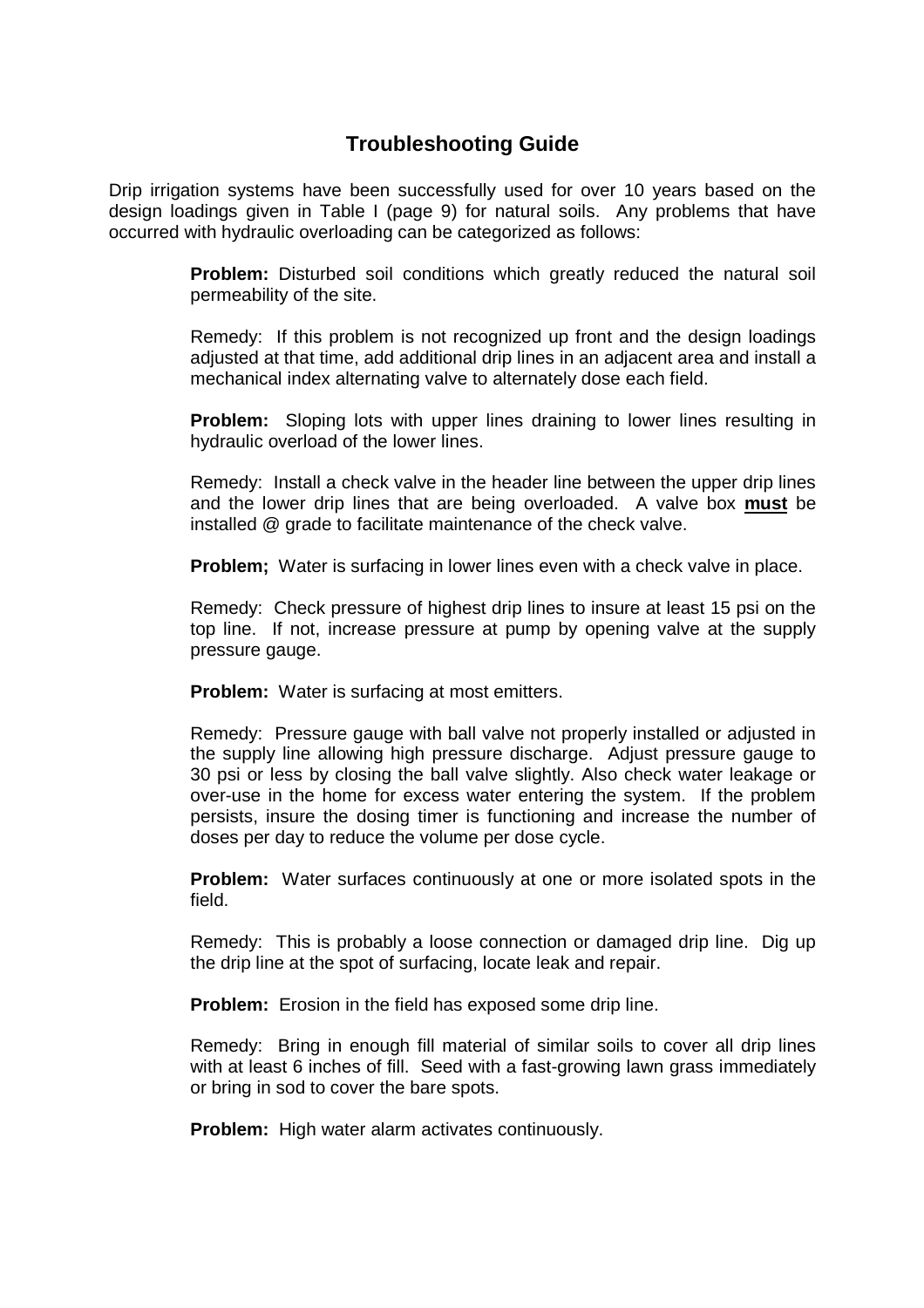# **Troubleshooting Guide**

Drip irrigation systems have been successfully used for over 10 years based on the design loadings given in Table I (page 9) for natural soils. Any problems that have occurred with hydraulic overloading can be categorized as follows:

> **Problem:** Disturbed soil conditions which greatly reduced the natural soil permeability of the site.

> Remedy: If this problem is not recognized up front and the design loadings adjusted at that time, add additional drip lines in an adjacent area and install a mechanical index alternating valve to alternately dose each field.

> **Problem:** Sloping lots with upper lines draining to lower lines resulting in hydraulic overload of the lower lines.

> Remedy: Install a check valve in the header line between the upper drip lines and the lower drip lines that are being overloaded. A valve box **must** be installed @ grade to facilitate maintenance of the check valve.

**Problem;** Water is surfacing in lower lines even with a check valve in place.

Remedy: Check pressure of highest drip lines to insure at least 15 psi on the top line. If not, increase pressure at pump by opening valve at the supply pressure gauge.

**Problem:** Water is surfacing at most emitters.

Remedy: Pressure gauge with ball valve not properly installed or adjusted in the supply line allowing high pressure discharge. Adjust pressure gauge to 30 psi or less by closing the ball valve slightly. Also check water leakage or over-use in the home for excess water entering the system. If the problem persists, insure the dosing timer is functioning and increase the number of doses per day to reduce the volume per dose cycle.

**Problem:** Water surfaces continuously at one or more isolated spots in the field.

Remedy: This is probably a loose connection or damaged drip line. Dig up the drip line at the spot of surfacing, locate leak and repair.

**Problem:** Erosion in the field has exposed some drip line.

Remedy: Bring in enough fill material of similar soils to cover all drip lines with at least 6 inches of fill. Seed with a fast-growing lawn grass immediately or bring in sod to cover the bare spots.

**Problem:** High water alarm activates continuously.